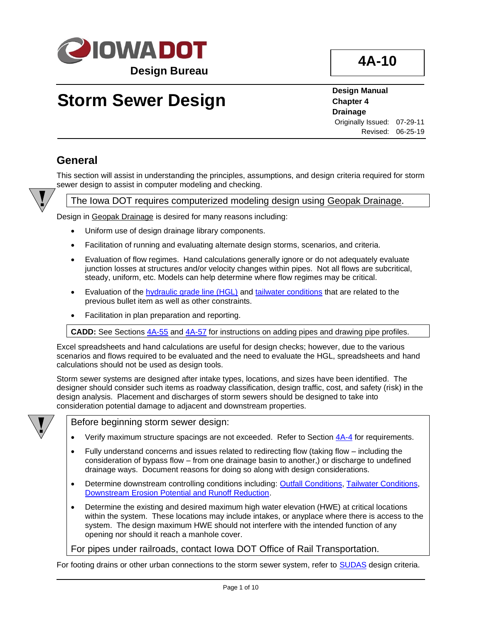

# **Storm Sewer Design**

**Design Manual Chapter 4 Drainage** Originally Issued: 07-29-11

Revised: 06-25-19

### **General**

This section will assist in understanding the principles, assumptions, and design criteria required for storm sewer design to assist in computer modeling and checking.



#### The Iowa DOT requires computerized modeling design using Geopak Drainage.

Design in Geopak Drainage is desired for many reasons including:

- Uniform use of design drainage library components.
- Facilitation of running and evaluating alternate design storms, scenarios, and criteria.
- Evaluation of flow regimes. Hand calculations generally ignore or do not adequately evaluate junction losses at structures and/or velocity changes within pipes. Not all flows are subcritical, steady, uniform, etc. Models can help determine where flow regimes may be critical.
- Evaluation of the [hydraulic grade line \(HGL\)](#page-7-0) and [tailwater conditions](#page-7-1) that are related to the previous bullet item as well as other constraints.
- Facilitation in plan preparation and reporting.

**CADD:** See Sections [4A-55](04a-55.pdf) an[d 4A-57](04a-57.pdf) for instructions on adding pipes and drawing pipe profiles.

Excel spreadsheets and hand calculations are useful for design checks; however, due to the various scenarios and flows required to be evaluated and the need to evaluate the HGL, spreadsheets and hand calculations should not be used as design tools.

Storm sewer systems are designed after intake types, locations, and sizes have been identified. The designer should consider such items as roadway classification, design traffic, cost, and safety (risk) in the design analysis. Placement and discharges of storm sewers should be designed to take into consideration potential damage to adjacent and downstream properties.



Before beginning storm sewer design:

- Verify maximum structure spacings are not exceeded. Refer to Section [4A-4](04a-04.pdf) for requirements.
- Fully understand concerns and issues related to redirecting flow (taking flow including the consideration of bypass flow – from one drainage basin to another,) or discharge to undefined drainage ways. Document reasons for doing so along with design considerations.
- Determine downstream controlling conditions including: [Outfall Conditions,](#page-6-0) [Tailwater Conditions,](#page-7-1) [Downstream Erosion Potential and Runoff Reduction.](#page-7-2)
- Determine the existing and desired maximum high water elevation (HWE) at critical locations within the system. These locations may include intakes, or anyplace where there is access to the system. The design maximum HWE should not interfere with the intended function of any opening nor should it reach a manhole cover.

For pipes under railroads, contact Iowa DOT Office of Rail Transportation.

For footing drains or other urban connections to the storm sewer system, refer to [SUDAS](https://iowasudas.org/manuals/design-manual/) design criteria.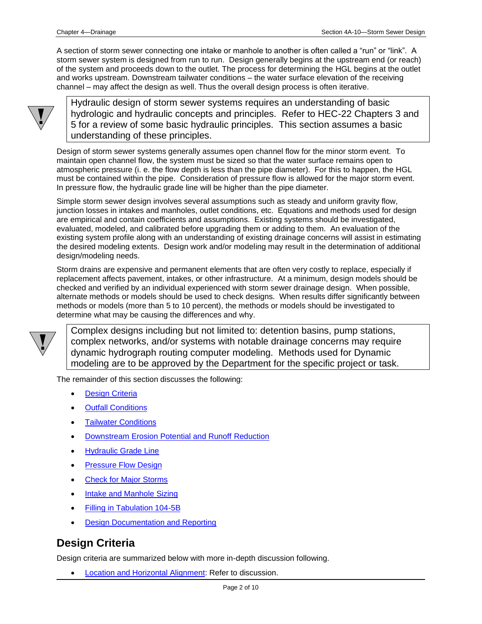A section of storm sewer connecting one intake or manhole to another is often called a "run" or "link". A storm sewer system is designed from run to run. Design generally begins at the upstream end (or reach) of the system and proceeds down to the outlet. The process for determining the HGL begins at the outlet and works upstream. Downstream tailwater conditions – the water surface elevation of the receiving channel – may affect the design as well. Thus the overall design process is often iterative.



Hydraulic design of storm sewer systems requires an understanding of basic hydrologic and hydraulic concepts and principles. Refer to HEC-22 Chapters 3 and 5 for a review of some basic hydraulic principles. This section assumes a basic understanding of these principles.

Design of storm sewer systems generally assumes open channel flow for the minor storm event. To maintain open channel flow, the system must be sized so that the water surface remains open to atmospheric pressure (i. e. the flow depth is less than the pipe diameter). For this to happen, the HGL must be contained within the pipe. Consideration of pressure flow is allowed for the major storm event. In pressure flow, the hydraulic grade line will be higher than the pipe diameter.

Simple storm sewer design involves several assumptions such as steady and uniform gravity flow, junction losses in intakes and manholes, outlet conditions, etc. Equations and methods used for design are empirical and contain coefficients and assumptions. Existing systems should be investigated, evaluated, modeled, and calibrated before upgrading them or adding to them. An evaluation of the existing system profile along with an understanding of existing drainage concerns will assist in estimating the desired modeling extents. Design work and/or modeling may result in the determination of additional design/modeling needs.

Storm drains are expensive and permanent elements that are often very costly to replace, especially if replacement affects pavement, intakes, or other infrastructure. At a minimum, design models should be checked and verified by an individual experienced with storm sewer drainage design. When possible, alternate methods or models should be used to check designs. When results differ significantly between methods or models (more than 5 to 10 percent), the methods or models should be investigated to determine what may be causing the differences and why.



Complex designs including but not limited to: detention basins, pump stations, complex networks, and/or systems with notable drainage concerns may require dynamic hydrograph routing computer modeling. Methods used for Dynamic modeling are to be approved by the Department for the specific project or task.

The remainder of this section discusses the following:

- **[Design Criteria](#page-1-0)**
- **[Outfall Conditions](#page-6-0)**
- [Tailwater Conditions](#page-7-1)
- [Downstream Erosion Potential and Runoff Reduction](#page-7-2)
- [Hydraulic Grade Line](#page-7-0)
- **[Pressure Flow Design](#page-7-3)**
- **[Check for Major Storms](#page-8-0)**
- **[Intake and Manhole](#page-8-1) Sizing**
- [Filling in Tabulation 104-5B](#page-9-0)
- **[Design Documentation and Reporting](#page-8-1)**

### <span id="page-1-0"></span>**Design Criteria**

Design criteria are summarized below with more in-depth discussion following.

• [Location and Horizontal Alignment:](#page-2-0) Refer to discussion.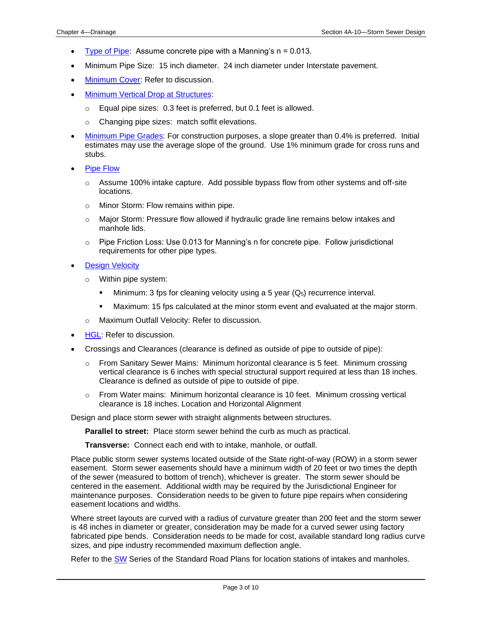- [Type of Pipe:](#page-3-0) Assume concrete pipe with a Manning's  $n = 0.013$ .
- Minimum Pipe Size: 15 inch diameter. 24 inch diameter under Interstate pavement.
- [Minimum Cover:](#page-3-1) Refer to discussion.
- **[Minimum Vertical Drop at Structures:](#page-3-2)** 
	- o Equal pipe sizes: 0.3 feet is preferred, but 0.1 feet is allowed.
	- o Changing pipe sizes: match soffit elevations.
- [Minimum Pipe Grades:](#page-3-3) For construction purposes, a slope greater than 0.4% is preferred. Initial estimates may use the average slope of the ground. Use 1% minimum grade for cross runs and stubs.
- [Pipe Flow](#page-4-0)
	- $\circ$  Assume 100% intake capture. Add possible bypass flow from other systems and off-site locations.
	- o Minor Storm: Flow remains within pipe.
	- $\circ$  Major Storm: Pressure flow allowed if hydraulic grade line remains below intakes and manhole lids.
	- $\circ$  Pipe Friction Loss: Use 0.013 for Manning's n for concrete pipe. Follow jurisdictional requirements for other pipe types.
- **[Design Velocity](#page-4-0)** 
	- o Within pipe system:
		- **E** Minimum: 3 fps for cleaning velocity using a 5 year  $(Q_5)$  recurrence interval.
		- **■** Maximum: 15 fps calculated at the minor storm event and evaluated at the major storm.
	- o Maximum Outfall Velocity: Refer to discussion.
- [HGL:](#page-6-1) Refer to discussion.
- <span id="page-2-0"></span>• [Crossings](#page-4-0) and Clearances (clearance is defined as outside of pipe to outside of pipe):
	- o From Sanitary Sewer Mains: Minimum horizontal clearance is 5 feet. Minimum crossing vertical clearance is 6 inches with special structural support required at less than 18 inches. Clearance is defined as outside of pipe to outside of pipe.
	- o From Water mains: Minimum horizontal clearance is 10 feet. Minimum crossing vertical clearance is 18 inches. Location and Horizontal Alignment

Design and place storm sewer with straight alignments between structures.

**Parallel to street:** Place storm sewer behind the curb as much as practical.

**Transverse:** Connect each end with to intake, manhole, or outfall.

Place public storm sewer systems located outside of the State right-of-way (ROW) in a storm sewer easement. Storm sewer easements should have a minimum width of 20 feet or two times the depth of the sewer (measured to bottom of trench), whichever is greater. The storm sewer should be centered in the easement. Additional width may be required by the Jurisdictional Engineer for maintenance purposes. Consideration needs to be given to future pipe repairs when considering easement locations and widths.

Where street layouts are curved with a radius of curvature greater than 200 feet and the storm sewer is 48 inches in diameter or greater, consideration may be made for a curved sewer using factory fabricated pipe bends. Consideration needs to be made for cost, available standard long radius curve sizes, and pipe industry recommended maximum deflection angle.

Refer to the [SW](../stdplne_sw) Series of the Standard Road Plans for location stations of intakes and manholes.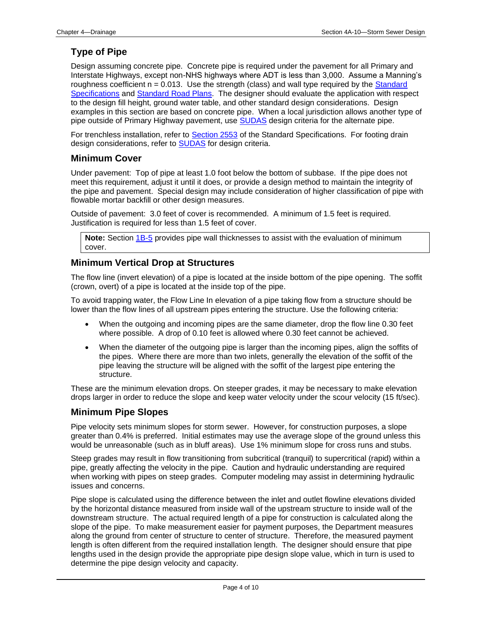### <span id="page-3-0"></span>**Type of Pipe**

Design assuming concrete pipe. Concrete pipe is required under the pavement for all Primary and Interstate Highways, except non-NHS highways where ADT is less than 3,000. Assume a Manning's roughness coefficient  $n = 0.013$ . Use the strength (class) and wall type required by the Standard [Specifications](../../erl/index.html) and [Standard Road Plans.](../stdplne_dr) The designer should evaluate the application with respect to the design fill height, ground water table, and other standard design considerations. Design examples in this section are based on concrete pipe. When a local jurisdiction allows another type of pipe outside of Primary Highway pavement, use [SUDAS](https://iowasudas.org/manuals/design-manual/) design criteria for the alternate pipe.

For trenchless installation, refer to **Section 2553** of the Standard Specifications. For footing drain design considerations, refer to **SUDAS** for design criteria.

#### <span id="page-3-1"></span>**Minimum Cover**

Under pavement: Top of pipe at least 1.0 foot below the bottom of subbase. If the pipe does not meet this requirement, adjust it until it does, or provide a design method to maintain the integrity of the pipe and pavement. Special design may include consideration of higher classification of pipe with flowable mortar backfill or other design measures.

Outside of pavement: 3.0 feet of cover is recommended. A minimum of 1.5 feet is required. Justification is required for less than 1.5 feet of cover.

**Note:** Section [1B-5](01b-05.pdf) provides pipe wall thicknesses to assist with the evaluation of minimum cover.

#### <span id="page-3-2"></span>**Minimum Vertical Drop at Structures**

The flow line (invert elevation) of a pipe is located at the inside bottom of the pipe opening. The soffit (crown, overt) of a pipe is located at the inside top of the pipe.

To avoid trapping water, the Flow Line In elevation of a pipe taking flow from a structure should be lower than the flow lines of all upstream pipes entering the structure. Use the following criteria:

- When the outgoing and incoming pipes are the same diameter, drop the flow line 0.30 feet where possible. A drop of 0.10 feet is allowed where 0.30 feet cannot be achieved.
- When the diameter of the outgoing pipe is larger than the incoming pipes, align the soffits of the pipes. Where there are more than two inlets, generally the elevation of the soffit of the pipe leaving the structure will be aligned with the soffit of the largest pipe entering the structure.

These are the minimum elevation drops. On steeper grades, it may be necessary to make elevation drops larger in order to reduce the slope and keep water velocity under the scour velocity (15 ft/sec).

#### <span id="page-3-3"></span>**Minimum Pipe Slopes**

Pipe velocity sets minimum slopes for storm sewer. However, for construction purposes, a slope greater than 0.4% is preferred. Initial estimates may use the average slope of the ground unless this would be unreasonable (such as in bluff areas). Use 1% minimum slope for cross runs and stubs.

Steep grades may result in flow transitioning from subcritical (tranquil) to supercritical (rapid) within a pipe, greatly affecting the velocity in the pipe. Caution and hydraulic understanding are required when working with pipes on steep grades. Computer modeling may assist in determining hydraulic issues and concerns.

Pipe slope is calculated using the difference between the inlet and outlet flowline elevations divided by the horizontal distance measured from inside wall of the upstream structure to inside wall of the downstream structure. The actual required length of a pipe for construction is calculated along the slope of the pipe. To make measurement easier for payment purposes, the Department measures along the ground from center of structure to center of structure. Therefore, the measured payment length is often different from the required installation length. The designer should ensure that pipe lengths used in the design provide the appropriate pipe design slope value, which in turn is used to determine the pipe design velocity and capacity.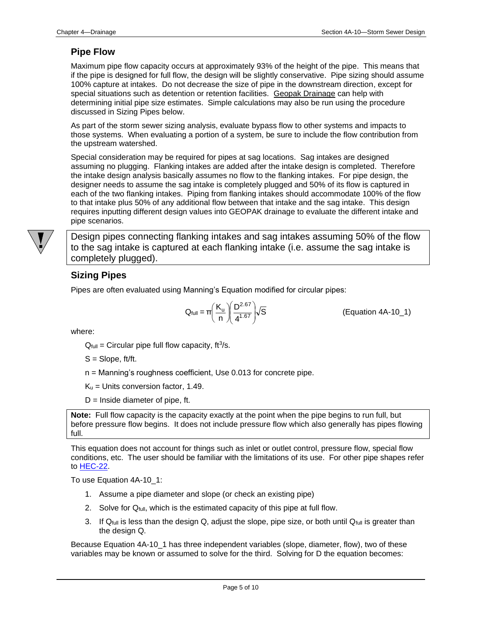#### <span id="page-4-0"></span>**Pipe Flow**

Maximum pipe flow capacity occurs at approximately 93% of the height of the pipe. This means that if the pipe is designed for full flow, the design will be slightly conservative. Pipe sizing should assume 100% capture at intakes. Do not decrease the size of pipe in the downstream direction, except for special situations such as detention or retention facilities. Geopak Drainage can help with determining initial pipe size estimates. Simple calculations may also be run using the procedure discussed in Sizing Pipes below.

As part of the storm sewer sizing analysis, evaluate bypass flow to other systems and impacts to those systems. When evaluating a portion of a system, be sure to include the flow contribution from the upstream watershed.

Special consideration may be required for pipes at sag locations. Sag intakes are designed assuming no plugging. Flanking intakes are added after the intake design is completed. Therefore the intake design analysis basically assumes no flow to the flanking intakes. For pipe design, the designer needs to assume the sag intake is completely plugged and 50% of its flow is captured in each of the two flanking intakes. Piping from flanking intakes should accommodate 100% of the flow to that intake plus 50% of any additional flow between that intake and the sag intake. This design requires inputting different design values into GEOPAK drainage to evaluate the different intake and pipe scenarios.



Design pipes connecting flanking intakes and sag intakes assuming 50% of the flow to the sag intake is captured at each flanking intake (i.e. assume the sag intake is completely plugged).

#### **Sizing Pipes**

Pipes are often evaluated using Manning's Equation modified for circular pipes:

$$
Q_{\text{full}} = \pi \left(\frac{K_u}{n}\right) \left(\frac{D^{2.67}}{4^{1.67}}\right) \sqrt{S}
$$

(Equation 4A-10\_1)

where:

 $Q_{full}$  = Circular pipe full flow capacity, ft<sup>3</sup>/s.

S = Slope, ft/ft.

n = Manning's roughness coefficient, Use 0.013 for concrete pipe.

 $K_u$  = Units conversion factor, 1.49.

 $D =$  Inside diameter of pipe, ft.

**Note:** Full flow capacity is the capacity exactly at the point when the pipe begins to run full, but before pressure flow begins. It does not include pressure flow which also generally has pipes flowing full.

This equation does not account for things such as inlet or outlet control, pressure flow, special flow conditions, etc. The user should be familiar with the limitations of its use. For other pipe shapes refer to **HEC-22**.

To use Equation 4A-10\_1:

- 1. Assume a pipe diameter and slope (or check an existing pipe)
- 2. Solve for Q<sub>full</sub>, which is the estimated capacity of this pipe at full flow.
- 3. If  $Q_{\text{full}}$  is less than the design Q, adjust the slope, pipe size, or both until  $Q_{\text{full}}$  is greater than the design Q.

Because Equation 4A-10\_1 has three independent variables (slope, diameter, flow), two of these variables may be known or assumed to solve for the third. Solving for D the equation becomes: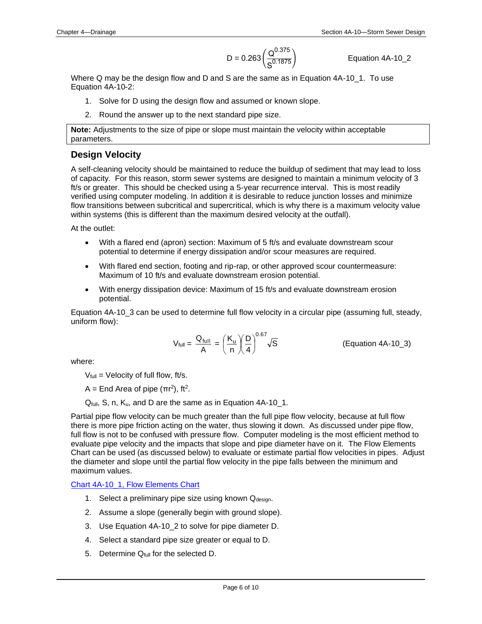$$
D = 0.263 \left( \frac{Q^{0.375}}{S^{0.1875}} \right)
$$

Equation 4A-10\_2

Where Q may be the design flow and D and S are the same as in Equation 4A-10\_1. To use Equation 4A-10-2:

- 1. Solve for D using the design flow and assumed or known slope.
- 2. Round the answer up to the next standard pipe size.

**Note:** Adjustments to the size of pipe or slope must maintain the velocity within acceptable parameters.

#### <span id="page-5-0"></span>**Design Velocity**

A self-cleaning velocity should be maintained to reduce the buildup of sediment that may lead to loss of capacity. For this reason, storm sewer systems are designed to maintain a minimum velocity of 3 ft/s or greater. This should be checked using a 5-year recurrence interval. This is most readily verified using computer modeling. In addition it is desirable to reduce junction losses and minimize flow transitions between subcritical and supercritical, which is why there is a maximum velocity value within systems (this is different than the maximum desired velocity at the outfall).

At the outlet:

- With a flared end (apron) section: Maximum of 5 ft/s and evaluate downstream scour potential to determine if energy dissipation and/or scour measures are required.
- With flared end section, footing and rip-rap, or other approved scour countermeasure: Maximum of 10 ft/s and evaluate downstream erosion potential.
- With energy dissipation device: Maximum of 15 ft/s and evaluate downstream erosion potential.

Equation 4A-10\_3 can be used to determine full flow velocity in a circular pipe (assuming full, steady, uniform flow):

$$
V_{\text{full}} = \frac{Q_{\text{full}}}{A} = \left(\frac{K_{\text{u}}}{n}\right)\left(\frac{D}{4}\right)^{0.67}\sqrt{S}
$$
 (Equation 4A-10\_3)

where:

 $V_{full}$  = Velocity of full flow, ft/s.

A = End Area of pipe ( $\pi r^2$ ), ft<sup>2</sup>.

Qfull, S, n, Ku, and D are the same as in Equation 4A-10\_1.

Partial pipe flow velocity can be much greater than the full pipe flow velocity, because at full flow there is more pipe friction acting on the water, thus slowing it down. As discussed under pipe flow, full flow is not to be confused with pressure flow. Computer modeling is the most efficient method to evaluate pipe velocity and the impacts that slope and pipe diameter have on it. The Flow Elements Chart can be used (as discussed below) to evaluate or estimate partial flow velocities in pipes. Adjust the diameter and slope until the partial flow velocity in the pipe falls between the minimum and maximum values.

[Chart 4A-10\\_1, Flow Elements Chart](04a-10/Chart%204A-10_1%20Flow%20Elements%20Chart.pdf)

- 1. Select a preliminary pipe size using known  $Q_{\text{design}}$ .
- 2. Assume a slope (generally begin with ground slope).
- 3. Use Equation 4A-10\_2 to solve for pipe diameter D.
- 4. Select a standard pipe size greater or equal to D.
- 5. Determine Q<sub>full</sub> for the selected D.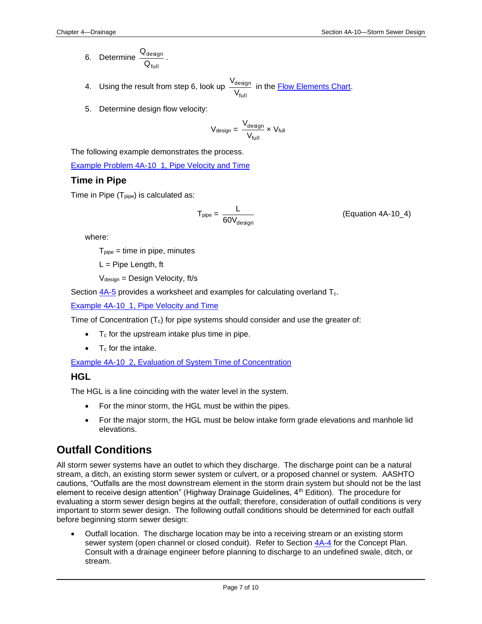- 6. Determine full design Q Q .
- 4. Using the result from step 6, look up full design V  $\frac{V_{\text{design}}}{V_{\text{total}}}$  in the <u>Flow Elements Chart</u>.
- 5. Determine design flow velocity:

$$
V_{\text{design}} = \frac{V_{\text{design}}}{V_{\text{full}}} \times V_{\text{full}}
$$

The following example demonstrates the process.

[Example Problem 4A-10\\_1, Pipe Velocity and Time](04a-10/Example%204A-10_1%20Pipe%20Velocity%20and%20Time.pdf)

#### <span id="page-6-0"></span>**Time in Pipe**

Time in Pipe  $(T_{\text{pipe}})$  is calculated as:

$$
T_{pipe} = \frac{L}{60V_{design}}
$$
 (Equation 4A-10\_4)

where:

 $T_{pipe}$  = time in pipe, minutes

 $L =$  Pipe Length, ft

 $V_{\text{design}} =$  Design Velocity, ft/s

Section  $4A-5$  provides a worksheet and examples for calculating overland  $T_c$ .

[Example 4A-10\\_1, Pipe Velocity and Time](04a-10/Example%204A-10_1%20Pipe%20Velocity%20and%20Time.pdf)

Time of Concentration  $(T_c)$  for pipe systems should consider and use the greater of:

- $\bullet$  T<sub>c</sub> for the upstream intake plus time in pipe.
- $\bullet$  T<sub>c</sub> for the intake.

[Example 4A-10\\_2, Evaluation of System Time of Concentration](04a-10/Example%204A-10_2%20Evaluation%20of%20System%20Time%20of%20Concentration.pdf)

#### <span id="page-6-1"></span>**HGL**

The HGL is a line coinciding with the water level in the system.

- For the minor storm, the HGL must be within the pipes.
- For the major storm, the HGL must be below intake form grade elevations and manhole lid elevations.

### **Outfall Conditions**

All storm sewer systems have an outlet to which they discharge. The discharge point can be a natural stream, a ditch, an existing storm sewer system or culvert, or a proposed channel or system. AASHTO cautions, "Outfalls are the most downstream element in the storm drain system but should not be the last element to receive design attention" (Highway Drainage Guidelines,  $4<sup>th</sup>$  Edition). The procedure for evaluating a storm sewer design begins at the outfall; therefore, consideration of outfall conditions is very important to storm sewer design. The following outfall conditions should be determined for each outfall before beginning storm sewer design:

• Outfall location. The discharge location may be into a receiving stream or an existing storm sewer system (open channel or closed conduit). Refer to Section [4A-4](04a-04.pdf) for the Concept Plan. Consult with a drainage engineer before planning to discharge to an undefined swale, ditch, or stream.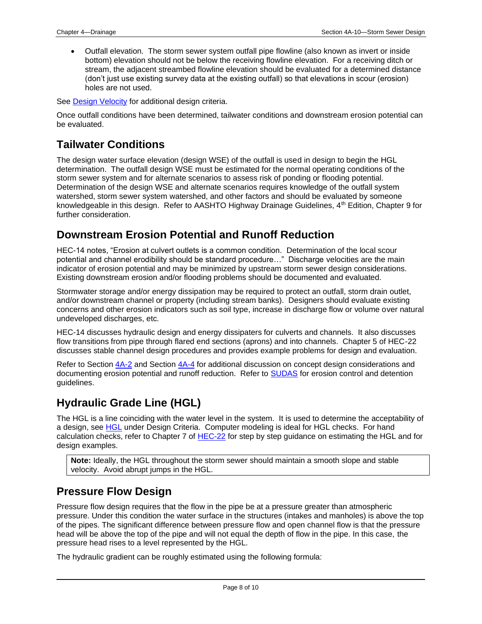• Outfall elevation. The storm sewer system outfall pipe flowline (also known as invert or inside bottom) elevation should not be below the receiving flowline elevation. For a receiving ditch or stream, the adjacent streambed flowline elevation should be evaluated for a determined distance (don't just use existing survey data at the existing outfall) so that elevations in scour (erosion) holes are not used.

See [Design Velocity](#page-5-0) for additional design criteria.

Once outfall conditions have been determined, tailwater conditions and downstream erosion potential can be evaluated.

### <span id="page-7-1"></span>**Tailwater Conditions**

The design water surface elevation (design WSE) of the outfall is used in design to begin the HGL determination. The outfall design WSE must be estimated for the normal operating conditions of the storm sewer system and for alternate scenarios to assess risk of ponding or flooding potential. Determination of the design WSE and alternate scenarios requires knowledge of the outfall system watershed, storm sewer system watershed, and other factors and should be evaluated by someone knowledgeable in this design. Refer to AASHTO Highway Drainage Guidelines, 4<sup>th</sup> Edition, Chapter 9 for further consideration.

### <span id="page-7-2"></span>**Downstream Erosion Potential and Runoff Reduction**

HEC-14 notes, "Erosion at culvert outlets is a common condition. Determination of the local scour potential and channel erodibility should be standard procedure…" Discharge velocities are the main indicator of erosion potential and may be minimized by upstream storm sewer design considerations. Existing downstream erosion and/or flooding problems should be documented and evaluated.

Stormwater storage and/or energy dissipation may be required to protect an outfall, storm drain outlet, and/or downstream channel or property (including stream banks). Designers should evaluate existing concerns and other erosion indicators such as soil type, increase in discharge flow or volume over natural undeveloped discharges, etc.

HEC-14 discusses hydraulic design and energy dissipaters for culverts and channels. It also discusses flow transitions from pipe through flared end sections (aprons) and into channels. Chapter 5 of HEC-22 discusses stable channel design procedures and provides example problems for design and evaluation.

Refer to Section [4A-2](04a-02.pdf) and Section [4A-4](04a-04.pdf) for additional discussion on concept design considerations and documenting erosion potential and runoff reduction. Refer to **SUDAS** for erosion control and detention guidelines.

### <span id="page-7-0"></span>**Hydraulic Grade Line (HGL)**

The HGL is a line coinciding with the water level in the system. It is used to determine the acceptability of a design, see [HGL](#page-6-1) under Design Criteria. Computer modeling is ideal for HGL checks. For hand calculation checks, refer to Chapter 7 of [HEC-22](http://www.fhwa.dot.gov/engineering/hydraulics/pubs/10009/10009.pdf) for step by step guidance on estimating the HGL and for design examples.

**Note:** Ideally, the HGL throughout the storm sewer should maintain a smooth slope and stable velocity. Avoid abrupt jumps in the HGL.

### <span id="page-7-3"></span>**Pressure Flow Design**

Pressure flow design requires that the flow in the pipe be at a pressure greater than atmospheric pressure. Under this condition the water surface in the structures (intakes and manholes) is above the top of the pipes. The significant difference between pressure flow and open channel flow is that the pressure head will be above the top of the pipe and will not equal the depth of flow in the pipe. In this case, the pressure head rises to a level represented by the HGL.

The hydraulic gradient can be roughly estimated using the following formula: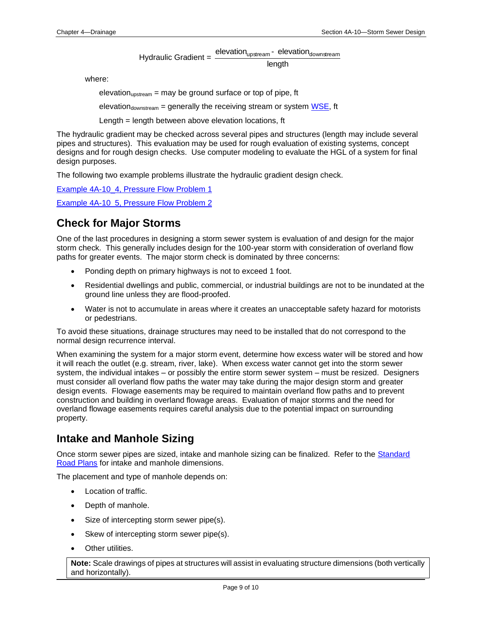Hydraulic Gradient = length elevation<sub>upstream</sub> - elevation<sub>downstream</sub>

where:

elevation<sub>upstream</sub> = may be ground surface or top of pipe, ft

elevation<sub>downstream</sub> = generally the receiving stream or system  $WSE$ , ft

Length = length between above elevation locations, ft

The hydraulic gradient may be checked across several pipes and structures (length may include several pipes and structures). This evaluation may be used for rough evaluation of existing systems, concept designs and for rough design checks. Use computer modeling to evaluate the HGL of a system for final design purposes.

The following two example problems illustrate the hydraulic gradient design check.

Example 4A-10 4, Pressure Flow Problem 1 [Example 4A-10\\_5, Pressure Flow Problem 2](04a-10/Example%204A-10_5%20Pressure%20Flow%20Problem_2.pdf)

### <span id="page-8-0"></span>**Check for Major Storms**

One of the last procedures in designing a storm sewer system is evaluation of and design for the major storm check. This generally includes design for the 100-year storm with consideration of overland flow paths for greater events. The major storm check is dominated by three concerns:

- Ponding depth on primary highways is not to exceed 1 foot.
- Residential dwellings and public, commercial, or industrial buildings are not to be inundated at the ground line unless they are flood-proofed.
- Water is not to accumulate in areas where it creates an unacceptable safety hazard for motorists or pedestrians.

To avoid these situations, drainage structures may need to be installed that do not correspond to the normal design recurrence interval.

When examining the system for a major storm event, determine how excess water will be stored and how it will reach the outlet (e.g. stream, river, lake). When excess water cannot get into the storm sewer system, the individual intakes – or possibly the entire storm sewer system – must be resized. Designers must consider all overland flow paths the water may take during the major design storm and greater design events. Flowage easements may be required to maintain overland flow paths and to prevent construction and building in overland flowage areas. Evaluation of major storms and the need for overland flowage easements requires careful analysis due to the potential impact on surrounding property.

### <span id="page-8-1"></span>**Intake and Manhole Sizing**

Once storm sewer pipes are sized, intake and manhole sizing can be finalized. Refer to the Standard [Road Plans](../stdplne_sw) for intake and manhole dimensions.

The placement and type of manhole depends on:

- Location of traffic.
- Depth of manhole.
- Size of intercepting storm sewer pipe(s).
- Skew of intercepting storm sewer pipe(s).
- Other utilities.

**Note:** Scale drawings of pipes at structures will assist in evaluating structure dimensions (both vertically and horizontally).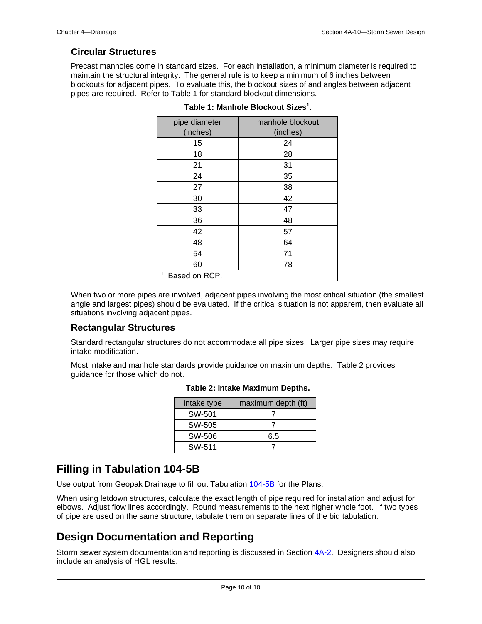#### **Circular Structures**

Precast manholes come in standard sizes. For each installation, a minimum diameter is required to maintain the structural integrity. The general rule is to keep a minimum of 6 inches between blockouts for adjacent pipes. To evaluate this, the blockout sizes of and angles between adjacent pipes are required. Refer to Table 1 for standard blockout dimensions.

| pipe diameter      | manhole blockout |
|--------------------|------------------|
| (inches)           | (inches)         |
| 15                 | 24               |
| 18                 | 28               |
| 21                 | 31               |
| 24                 | 35               |
| 27                 | 38               |
| 30                 | 42               |
| 33                 | 47               |
| 36                 | 48               |
| 42                 | 57               |
| 48                 | 64               |
| 54                 | 71               |
| 60                 | 78               |
| 1<br>Based on RCP. |                  |

|  |  | Table 1: Manhole Blockout Sizes <sup>1</sup> . |  |
|--|--|------------------------------------------------|--|
|--|--|------------------------------------------------|--|

When two or more pipes are involved, adjacent pipes involving the most critical situation (the smallest angle and largest pipes) should be evaluated. If the critical situation is not apparent, then evaluate all situations involving adjacent pipes.

#### **Rectangular Structures**

Standard rectangular structures do not accommodate all pipe sizes. Larger pipe sizes may require intake modification.

Most intake and manhole standards provide guidance on maximum depths. Table 2 provides guidance for those which do not.

| intake type | maximum depth (ft) |
|-------------|--------------------|
| SW-501      |                    |
| SW-505      |                    |
| SW-506      | 6.5                |
| SW-511      |                    |

### <span id="page-9-0"></span>**Filling in Tabulation 104-5B**

Use output from Geopak Drainage to fill out Tabulation [104-5B](../tnt/PDFsandWebFiles/IndividualPDFs/0104-05B.PDF) for the Plans.

When using letdown structures, calculate the exact length of pipe required for installation and adjust for elbows. Adjust flow lines accordingly. Round measurements to the next higher whole foot. If two types of pipe are used on the same structure, tabulate them on separate lines of the bid tabulation.

### **Design Documentation and Reporting**

Storm sewer system documentation and reporting is discussed in Section  $4A-2$ . Designers should also include an analysis of HGL results.